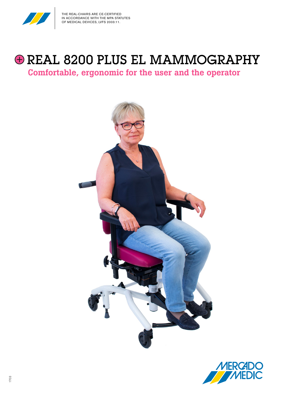

# $\bigoplus$  REAL 8200 PLUS EL MAMMOGRAPHY

Comfortable, ergonomic for the user and the operator



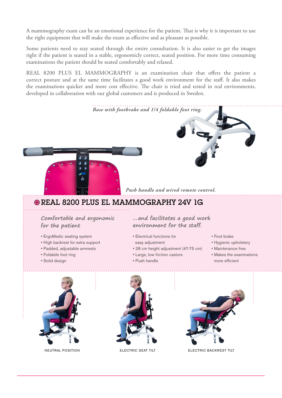A mammography exam can be an emotional experience for the patient. That is why it is important to use the right equipment that will make the exam as effective and as pleasant as possible.

Some patients need to stay seated through the entire consultation. It is also easier to get the images right if the patient is seated in a stable, ergonomicly correct, seated position. For more time consuming examinations the patient should be seated comfortably and relaxed.

REAL 8200 PLUS EL MAMMOGRAPHY is an examination chair that offers the patient a correct posture and at the same time facilitates a good work environment for the staff. It also makes the examinations quicker and more cost effective. The chair is tried and tested in real environments, developed in collaboration with our global customers and is produced in Sweden.

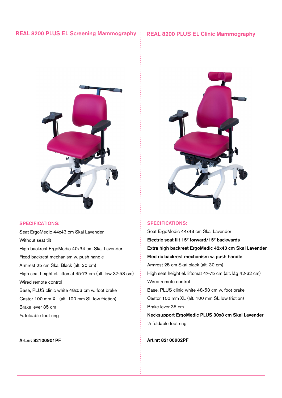## REAL 8200 PLUS EL Screening Mammography : REAL 8200 PLUS EL Clinic Mammography



#### SPECIFICATIONS:

Seat ErgoMedic 44x43 cm Skai Lavender Without seat tilt High backrest ErgoMedic 40x34 cm Skai Lavender Fixed backrest mechanism w. push handle Armrest 25 cm Skai Black (alt. 30 cm) High seat height el. liftomat 45-73 cm (alt. low 37-53 cm) Wired remote control Base, PLUS clinic white 48x53 cm w. foot brake Castor 100 mm XL (alt. 100 mm SL low friction) Brake lever 35 cm ¼ foldable foot ring

### Art.nr: 82100901PF



#### SPECIFICATIONS:

Seat ErgoMedic 44x43 cm Skai Lavender Electric seat tilt 15° forward/15° backwards Extra high backrest ErgoMedic 42x43 cm Skai Lavender Electric backrest mechanism w. push handle Armrest 25 cm Skai black (alt. 30 cm) High seat height el. liftomat 47-75 cm (alt. låg 42-62 cm) Wired remote control Base, PLUS clinic white 48x53 cm w. foot brake Castor 100 mm XL (alt. 100 mm SL low friction) Brake lever 35 cm Necksupport ErgoMedic PLUS 30x8 cm Skai Lavender ¼ foldable foot ring

#### Art.nr: 82100902PF